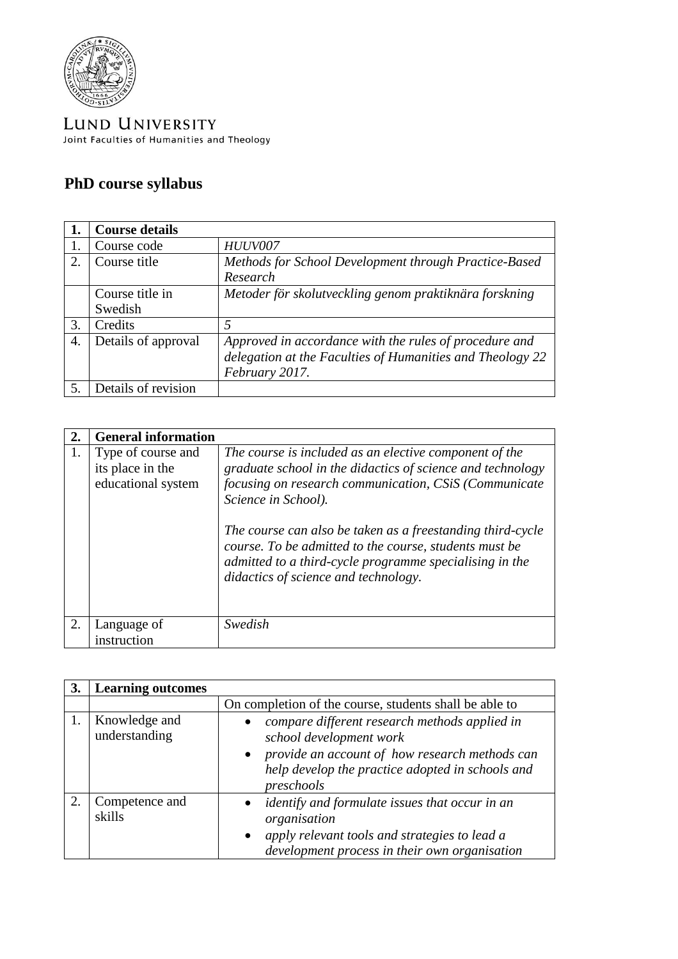

LUND UNIVERSITY Joint Faculties of Humanities and Theology

## **PhD course syllabus**

|    | <b>Course details</b> |                                                           |
|----|-----------------------|-----------------------------------------------------------|
|    | Course code           | <b>HUUV007</b>                                            |
| 2. | Course title          | Methods for School Development through Practice-Based     |
|    |                       | Research                                                  |
|    | Course title in       | Metoder för skolutveckling genom praktiknära forskning    |
|    | Swedish               |                                                           |
| 3. | Credits               | 5                                                         |
| 4. | Details of approval   | Approved in accordance with the rules of procedure and    |
|    |                       | delegation at the Faculties of Humanities and Theology 22 |
|    |                       | February 2017.                                            |
|    | Details of revision   |                                                           |

| 2. | <b>General information</b>                                   |                                                                                                                                                                                                                                                                                                                                                                                                                                 |
|----|--------------------------------------------------------------|---------------------------------------------------------------------------------------------------------------------------------------------------------------------------------------------------------------------------------------------------------------------------------------------------------------------------------------------------------------------------------------------------------------------------------|
|    | Type of course and<br>its place in the<br>educational system | The course is included as an elective component of the<br>graduate school in the didactics of science and technology<br>focusing on research communication, CSiS (Communicate<br>Science in School).<br>The course can also be taken as a freestanding third-cycle<br>course. To be admitted to the course, students must be<br>admitted to a third-cycle programme specialising in the<br>didactics of science and technology. |
| 2. | Language of<br>instruction                                   | Swedish                                                                                                                                                                                                                                                                                                                                                                                                                         |

| 3. | <b>Learning outcomes</b>       |                                                                                                                                                                                                           |
|----|--------------------------------|-----------------------------------------------------------------------------------------------------------------------------------------------------------------------------------------------------------|
|    |                                | On completion of the course, students shall be able to                                                                                                                                                    |
|    | Knowledge and<br>understanding | compare different research methods applied in<br>school development work<br>provide an account of how research methods can<br>$\bullet$<br>help develop the practice adopted in schools and<br>preschools |
| 2. | Competence and<br>skills       | <i>identify and formulate issues that occur in an</i><br>organisation<br>apply relevant tools and strategies to lead a<br>$\bullet$<br>development process in their own organisation                      |